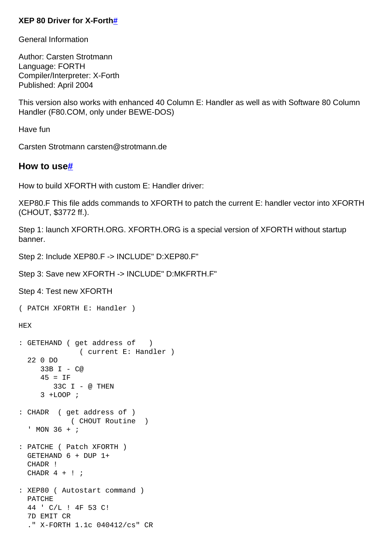## **XEP 80 Driver for X-Fort[h#](http://[fd00::119]:8080/wiki/#section-XEP80+Driver+for+X-FORTH-XEP80DriverForXForth)**

General Information

Author: Carsten Strotmann Language: FORTH Compiler/Interpreter: X-Forth Published: April 2004

This version also works with enhanced 40 Column E: Handler as well as with Software 80 Column Handler (F80.COM, only under BEWE-DOS)

Have fun

Carsten Strotmann carsten@strotmann.de

## **How to us[e#](http://[fd00::119]:8080/wiki/#section-XEP80+Driver+for+X-FORTH-HowToUse)**

How to build XFORTH with custom E: Handler driver:

XEP80.F This file adds commands to XFORTH to patch the current E: handler vector into XFORTH (CHOUT, \$3772 ff.).

Step 1: launch XFORTH.ORG. XFORTH.ORG is a special version of XFORTH without startup banner.

Step 2: Include XEP80.F -> INCLUDE" D:XEP80.F"

Step 3: Save new XFORTH -> INCLUDE" D:MKFRTH.F"

Step 4: Test new XFORTH

( PATCH XFORTH E: Handler ) HEX : GETEHAND ( get address of ) ( current E: Handler ) 22 0 DO 33B I - C@  $45 = IF$  33C I - @ THEN 3 +LOOP ; : CHADR ( get address of ) ( CHOUT Routine ) ' MON 36 + ; : PATCHE ( Patch XFORTH ) GETEHAND 6 + DUP 1+ CHADR ! CHADR  $4 + !$  ; : XEP80 ( Autostart command ) PATCHE 44 ' C/L ! 4F 53 C! 7D EMIT CR ." X-FORTH 1.1c 040412/cs" CR